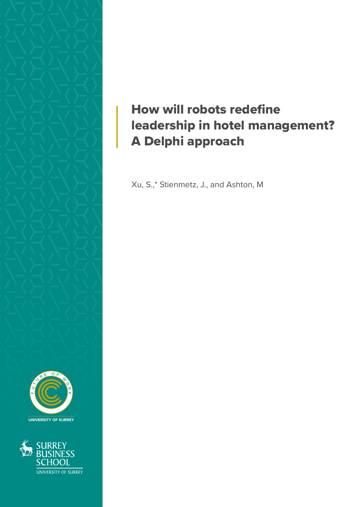

**UNIVERSITY OF SURREY**



## How will robots redefine leadership in hotel management? A Delphi approach

Xu, S.,\* Stienmetz, J., and Ashton, M